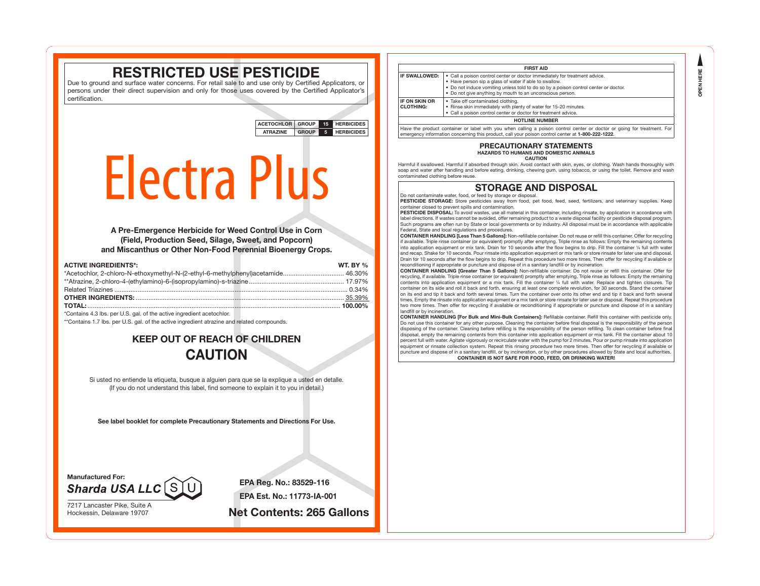**OPEN HERE OPEN HERE**

# **RESTRICTED USE PESTICIDE**

Due to ground and surface water concerns. For retail sale to and use only by Certified Applicators, or persons under their direct supervision and only for those uses covered by the Certified Applicator's certification.

> **ACETOCHLOR GROUP 15 HERBICIDES ATRAZINE GROUP 5 HERBICIDES**

# Electra Plus

**A Pre-Emergence Herbicide for Weed Control Use in Corn (Field, Production Seed, Silage, Sweet, and Popcorn) and Miscanthus or Other Non-Food Perennial Bioenergy Crops.**

| <b>ACTIVE INGREDIENTS*:</b>                                                       | WT. BY $\%$ |
|-----------------------------------------------------------------------------------|-------------|
| *Acetochlor, 2-chloro-N-ethoxymethyl-N-(2-ethyl-6-methylphenyl)acetamide 46.30%   |             |
|                                                                                   |             |
|                                                                                   |             |
|                                                                                   |             |
|                                                                                   |             |
| $*{\circ}$ antoing 1.0 lbs. nor LLC, and of the potition increading to antoologic |             |

\*Contains 4.3 lbs. per U.S. gal. of the active ingredient acetochlor.

\*\*Contains 1.7 lbs. per U.S. gal. of the active ingredient atrazine and related compounds.

# **KEEP OUT OF REACH OF CHILDREN CAUTION**

Si usted no entiende la etiqueta, busque a alguien para que se la explique a usted en detalle. (If you do not understand this label, find someone to explain it to you in detail.)

**See label booklet for complete Precautionary Statements and Directions For Use.**

**Manufactured For: Sharda USA LLC** 

7217 Lancaster Pike, Suite A

**EPA Reg. No.: 83529-116 EPA Est. No.: 11773-IA-001**

Hockessin, Delaware 19707 **Net Contents: 265 Gallons**

|                                          | <b>FIRST AID</b>                                                                                                                                                                                                                                                                         |
|------------------------------------------|------------------------------------------------------------------------------------------------------------------------------------------------------------------------------------------------------------------------------------------------------------------------------------------|
| IF SWALLOWED:                            | • Call a poison control center or doctor immediately for treatment advice.<br>• Have person sip a glass of water if able to swallow.<br>. Do not induce vomiting unless told to do so by a poison control center or doctor.<br>• Do not give anything by mouth to an unconscious person. |
| <b>IF ON SKIN OR</b><br><b>CLOTHING:</b> | • Take off contaminated clothing.<br>• Rinse skin immediately with plenty of water for 15-20 minutes.<br>• Call a poison control center or doctor for treatment advice.                                                                                                                  |
|                                          | <b>HOTLINE NUMBER</b>                                                                                                                                                                                                                                                                    |

emergency information concerning this product, call your poison control center at **1-800-222-1222**.

#### **PRECAUTIONARY STATEMENTS HAZARDS TO HUMANS AND DOMESTIC ANIMALS**

**CAUTION**

Harmful if swallowed. Harmful if absorbed through skin. Avoid contact with skin, eyes, or clothing. Wash hands thoroughly with soap and water after handling and before eating, drinking, chewing gum, using tobacco, or using the toilet. Remove and wash contaminated clothing before reuse.

# **STORAGE AND DISPOSAL**

Do not contaminate water, food, or feed by storage or disposal.

PESTICIDE STORAGE: Store pesticides away from food, pet food, feed, seed, fertilizers, and veterinary supplies. Keep container closed to prevent spills and contamination.

PESTICIDE DISPOSAL: To avoid wastes, use all material in this container, including rinsate, by application in accordance with label directions. If wastes cannot be avoided, offer remaining product to a waste disposal facility or pesticide disposal program Such programs are often run by State or local governments or by industry. All disposal must be in accordance with applicable Federal, State and local regulations and procedures.

**CONTAINER HANDLING [Less Than 5 Gallons]:** Non-refillable container. Do not reuse or refill this container. Offer for recycling if available. Triple rinse container (or equivalent) promptly after emptying. Triple rinse as follows: Empty the remaining contents into application equipment or mix tank. Drain for 10 seconds after the flow begins to drip. Fill the container ¼ full with water and recap. Shake for 10 seconds. Pour rinsate into application equipment or mix tank or store rinsate for later use and disposal. Drain for 10 seconds after the flow begins to drip. Repeat this procedure two more times. Then offer for recycling if available or reconditioning if appropriate or puncture and dispose of in a sanitary landfill or by incineration.

**CONTAINER HANDLING [Greater Than 5 Gallons]:** Non-refillable container. Do not reuse or refill this container. Offer for recycling, if available. Triple rinse container (or equivalent) promptly after emptying. Triple rinse as follows: Empty the remaining contents into application equipment or a mix tank. Fill the container 1/4 full with water. Replace and tighten closures. Tip container on its side and roll it back and forth, ensuring at least one complete revolution, for 30 seconds. Stand the container on its end and tip it back and forth several times. Turn the container over onto its other end and tip it back and forth several times. Empty the rinsate into application equipment or a mix tank or store rinsate for later use or disposal. Repeat this procedure two more times. Then offer for recycling if available or reconditioning if appropriate or puncture and dispose of in a sanitary landfill or by incineration.

**CONTAINER HANDLING [For Bulk and Mini-Bulk Containers]:** Refillable container. Refill this container with pesticide only. Do not use this container for any other purpose. Cleaning the container before final disposal is the responsibility of the person disposing of the container. Cleaning before refilling is the responsibility of the person refilling. To clean container before final disposal, empty the remaining contents from this container into application equipment or mix tank. Fill the container about 10 percent full with water. Agitate vigorously or recirculate water with the pump for 2 minutes. Pour or pump rinsate into application equipment or rinsate collection system. Repeat this rinsing procedure two more times. Then offer for recycling if available or puncture and dispose of in a sanitary landfill, or by incineration, or by other procedures allowed by State and local authorities.

**CONTAINER IS NOT SAFE FOR FOOD, FEED, OR DRINKING WATER!**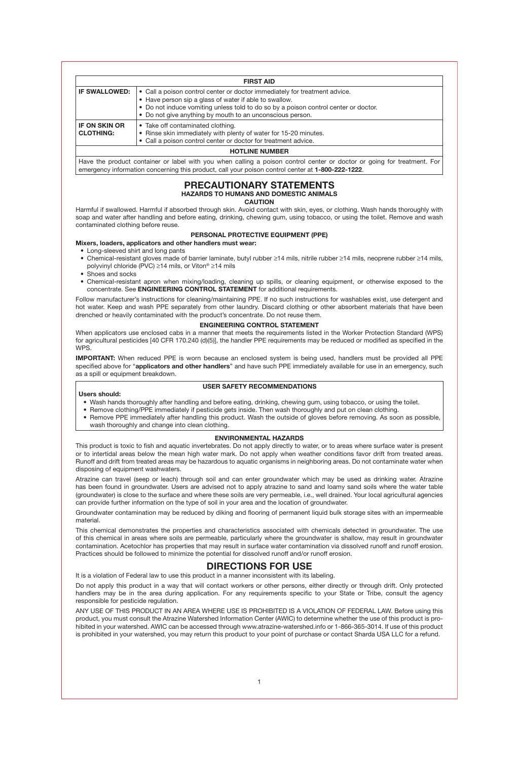**FIRST AID IF SWALLOWED:**  $\cdot$  Call a poison control center or doctor immediately for treatment advice. • Have person sip a glass of water if able to swallow. • Do not induce vomiting unless told to do so by a poison control center or doctor. • Do not give anything by mouth to an unconscious person. **IF ON SKIN OR CLOTHING:** • Take off contaminated clothing. • Rinse skin immediately with plenty of water for 15-20 minutes. • Call a poison control center or doctor for treatment advice. **HOTLINE NUMBER**

Have the product container or label with you when calling a poison control center or doctor or going for treatment. For emergency information concerning this product, call your poison control center at **1-800-222-1222**.

## **PRECAUTIONARY STATEMENTS HAZARDS TO HUMANS AND DOMESTIC ANIMALS**

**CAUTION**

Harmful if swallowed. Harmful if absorbed through skin. Avoid contact with skin, eyes, or clothing. Wash hands thoroughly with soap and water after handling and before eating, drinking, chewing gum, using tobacco, or using the toilet. Remove and wash contaminated clothing before reuse.

#### **PERSONAL PROTECTIVE EQUIPMENT (PPE)**

# **Mixers, loaders, applicators and other handlers must wear:**

- Long-sleeved shirt and long pants
- Chemical-resistant gloves made of barrier laminate, butyl rubber ≥14 mils, nitrile rubber ≥14 mils, neoprene rubber ≥14 mils, polyvinyl chloride (PVC) ≥14 mils, or Viton® ≥14 mils
- Shoes and socks
- Chemical-resistant apron when mixing/loading, cleaning up spills, or cleaning equipment, or otherwise exposed to the concentrate. See **ENGINEERING CONTROL STATEMENT** for additional requirements.

Follow manufacturer's instructions for cleaning/maintaining PPE. If no such instructions for washables exist, use detergent and hot water. Keep and wash PPE separately from other laundry. Discard clothing or other absorbent materials that have been drenched or heavily contaminated with the product's concentrate. Do not reuse them.

#### **ENGINEERING CONTROL STATEMENT**

When applicators use enclosed cabs in a manner that meets the requirements listed in the Worker Protection Standard (WPS) for agricultural pesticides [40 CFR 170.240 (d)(5)], the handler PPE requirements may be reduced or modified as specified in the WPS.

**IMPORTANT:** When reduced PPE is worn because an enclosed system is being used, handlers must be provided all PPE specified above for "**applicators and other handlers**" and have such PPE immediately available for use in an emergency, such as a spill or equipment breakdown.

#### **USER SAFETY RECOMMENDATIONS**

#### **Users should:**

- Wash hands thoroughly after handling and before eating, drinking, chewing gum, using tobacco, or using the toilet.
- Remove clothing/PPE immediately if pesticide gets inside. Then wash thoroughly and put on clean clothing. • Remove PPE immediately after handling this product. Wash the outside of gloves before removing. As soon as possible,
- wash thoroughly and change into clean clothing.

## **ENVIRONMENTAL HAZARDS**

This product is toxic to fish and aquatic invertebrates. Do not apply directly to water, or to areas where surface water is present or to intertidal areas below the mean high water mark. Do not apply when weather conditions favor drift from treated areas. Runoff and drift from treated areas may be hazardous to aquatic organisms in neighboring areas. Do not contaminate water when disposing of equipment washwaters.

Atrazine can travel (seep or leach) through soil and can enter groundwater which may be used as drinking water. Atrazine has been found in groundwater. Users are advised not to apply atrazine to sand and loamy sand soils where the water table (groundwater) is close to the surface and where these soils are very permeable, i.e., well drained. Your local agricultural agencies can provide further information on the type of soil in your area and the location of groundwater.

Groundwater contamination may be reduced by diking and flooring of permanent liquid bulk storage sites with an impermeable material.

This chemical demonstrates the properties and characteristics associated with chemicals detected in groundwater. The use of this chemical in areas where soils are permeable, particularly where the groundwater is shallow, may result in groundwater contamination. Acetochlor has properties that may result in surface water contamination via dissolved runoff and runoff erosion. Practices should be followed to minimize the potential for dissolved runoff and/or runoff erosion.

# **DIRECTIONS FOR USE**

It is a violation of Federal law to use this product in a manner inconsistent with its labeling.

Do not apply this product in a way that will contact workers or other persons, either directly or through drift. Only protected handlers may be in the area during application. For any requirements specific to your State or Tribe, consult the agency responsible for pesticide regulation.

ANY USE OF THIS PRODUCT IN AN AREA WHERE USE IS PROHIBITED IS A VIOLATION OF FEDERAL LAW. Before using this product, you must consult the Atrazine Watershed Information Center (AWIC) to determine whether the use of this product is prohibited in your watershed. AWIC can be accessed through www.atrazine-watershed.info or 1-866-365-3014. If use of this product is prohibited in your watershed, you may return this product to your point of purchase or contact Sharda USA LLC for a refund.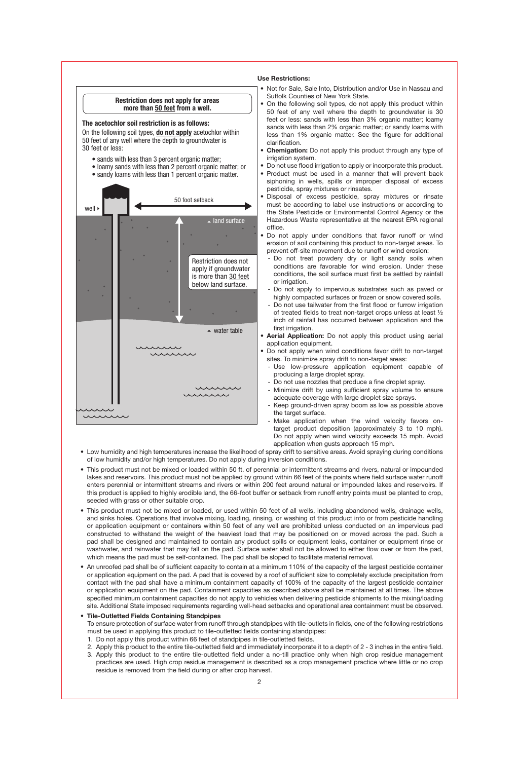

- Low humidity and high temperatures increase the likelihood of spray drift to sensitive areas. Avoid spraying during conditions of low humidity and/or high temperatures. Do not apply during inversion conditions.
- This product must not be mixed or loaded within 50 ft. of perennial or intermittent streams and rivers, natural or impounded lakes and reservoirs. This product must not be applied by ground within 66 feet of the points where field surface water runoff enters perennial or intermittent streams and rivers or within 200 feet around natural or impounded lakes and reservoirs. If this product is applied to highly erodible land, the 66-foot buffer or setback from runoff entry points must be planted to crop, seeded with grass or other suitable crop.
- This product must not be mixed or loaded, or used within 50 feet of all wells, including abandoned wells, drainage wells, and sinks holes. Operations that involve mixing, loading, rinsing, or washing of this product into or from pesticide handling or application equipment or containers within 50 feet of any well are prohibited unless conducted on an impervious pad constructed to withstand the weight of the heaviest load that may be positioned on or moved across the pad. Such a pad shall be designed and maintained to contain any product spills or equipment leaks, container or equipment rinse or washwater, and rainwater that may fall on the pad. Surface water shall not be allowed to either flow over or from the pad, which means the pad must be self-contained. The pad shall be sloped to facilitate material removal.
- An unroofed pad shall be of sufficient capacity to contain at a minimum 110% of the capacity of the largest pesticide container or application equipment on the pad. A pad that is covered by a roof of sufficient size to completely exclude precipitation from contact with the pad shall have a minimum containment capacity of 100% of the capacity of the largest pesticide container or application equipment on the pad. Containment capacities as described above shall be maintained at all times. The above specified minimum containment capacities do not apply to vehicles when delivering pesticide shipments to the mixing/loading site. Additional State imposed requirements regarding well-head setbacks and operational area containment must be observed.

#### **• Tile-Outletted Fields Containing Standpipes**

- To ensure protection of surface water from runoff through standpipes with tile-outlets in fields, one of the following restrictions must be used in applying this product to tile-outletted fields containing standpipes:
- 1. Do not apply this product within 66 feet of standpipes in tile-outletted fields.
- 2. Apply this product to the entire tile-outletted field and immediately incorporate it to a depth of 2 3 inches in the entire field. 3. Apply this product to the entire tile-outletted field under a no-till practice only when high crop residue management
- practices are used. High crop residue management is described as a crop management practice where little or no crop residue is removed from the field during or after crop harvest.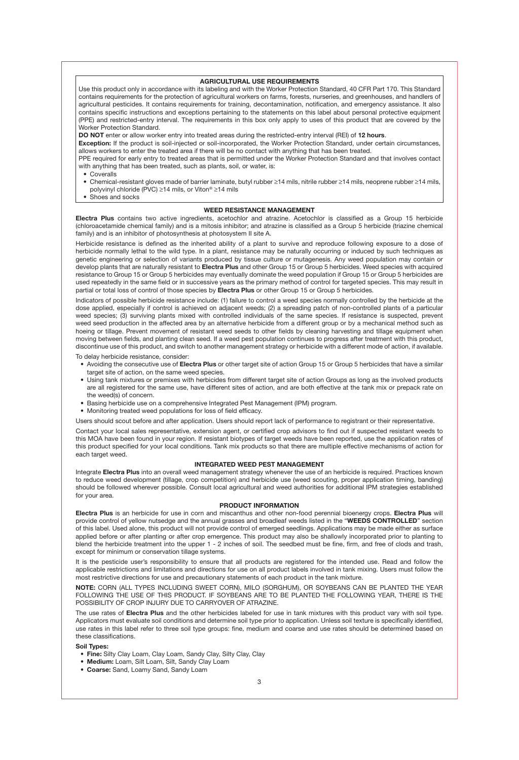#### **AGRICULTURAL USE REQUIREMENTS**

Use this product only in accordance with its labeling and with the Worker Protection Standard, 40 CFR Part 170. This Standard contains requirements for the protection of agricultural workers on farms, forests, nurseries, and greenhouses, and handlers of agricultural pesticides. It contains requirements for training, decontamination, notification, and emergency assistance. It also contains specific instructions and exceptions pertaining to the statements on this label about personal protective equipment (PPE) and restricted-entry interval. The requirements in this box only apply to uses of this product that are covered by the Worker Protection Standard.

**DO NOT** enter or allow worker entry into treated areas during the restricted-entry interval (REI) of **12 hours**.

**Exception:** If the product is soil-injected or soil-incorporated, the Worker Protection Standard, under certain circumstances, allows workers to enter the treated area if there will be no contact with anything that has been treated.

PPE required for early entry to treated areas that is permitted under the Worker Protection Standard and that involves contact with anything that has been treated, such as plants, soil, or water, is:

• Coveralls

- Chemical-resistant gloves made of barrier laminate, butyl rubber ≥14 mils, nitrile rubber ≥14 mils, neoprene rubber ≥14 mils, polyvinyl chloride (PVC) ≥14 mils, or Viton® ≥14 mils
- Shoes and socks

#### **WEED RESISTANCE MANAGEMENT**

**Electra Plus** contains two active ingredients, acetochlor and atrazine. Acetochlor is classified as a Group 15 herbicide (chloroacetamide chemical family) and is a mitosis inhibitor; and atrazine is classified as a Group 5 herbicide (triazine chemical family) and is an inhibitor of photosynthesis at photosystem II site A.

Herbicide resistance is defined as the inherited ability of a plant to survive and reproduce following exposure to a dose of herbicide normally lethal to the wild type. In a plant, resistance may be naturally occurring or induced by such techniques as genetic engineering or selection of variants produced by tissue culture or mutagenesis. Any weed population may contain or develop plants that are naturally resistant to **Electra Plus** and other Group 15 or Group 5 herbicides. Weed species with acquired resistance to Group 15 or Group 5 herbicides may eventually dominate the weed population if Group 15 or Group 5 herbicides are used repeatedly in the same field or in successive years as the primary method of control for targeted species. This may result in partial or total loss of control of those species by **Electra Plus** or other Group 15 or Group 5 herbicides.

Indicators of possible herbicide resistance include: (1) failure to control a weed species normally controlled by the herbicide at the dose applied, especially if control is achieved on adjacent weeds; (2) a spreading patch of non-controlled plants of a particular weed species; (3) surviving plants mixed with controlled individuals of the same species. If resistance is suspected, prevent weed seed production in the affected area by an alternative herbicide from a different group or by a mechanical method such as hoeing or tillage. Prevent movement of resistant weed seeds to other fields by cleaning harvesting and tillage equipment when moving between fields, and planting clean seed. If a weed pest population continues to progress after treatment with this product, discontinue use of this product, and switch to another management strategy or herbicide with a different mode of action, if available.

To delay herbicide resistance, consider:

- Avoiding the consecutive use of **Electra Plus** or other target site of action Group 15 or Group 5 herbicides that have a similar target site of action, on the same weed species.
- Using tank mixtures or premixes with herbicides from different target site of action Groups as long as the involved products are all registered for the same use, have different sites of action, and are both effective at the tank mix or prepack rate on the weed(s) of concern.
- Basing herbicide use on a comprehensive Integrated Pest Management (IPM) program.
- Monitoring treated weed populations for loss of field efficacy.

Users should scout before and after application. Users should report lack of performance to registrant or their representative.

Contact your local sales representative, extension agent, or certified crop advisors to find out if suspected resistant weeds to this MOA have been found in your region. If resistant biotypes of target weeds have been reported, use the application rates of this product specified for your local conditions. Tank mix products so that there are multiple effective mechanisms of action for each target weed.

#### **INTEGRATED WEED PEST MANAGEMENT**

Integrate **Electra Plus** into an overall weed management strategy whenever the use of an herbicide is required. Practices known to reduce weed development (tillage, crop competition) and herbicide use (weed scouting, proper application timing, banding) should be followed wherever possible. Consult local agricultural and weed authorities for additional IPM strategies established for your area.

#### **PRODUCT INFORMATION**

**Electra Plus** is an herbicide for use in corn and miscanthus and other non-food perennial bioenergy crops. **Electra Plus** will provide control of yellow nutsedge and the annual grasses and broadleaf weeds listed in the "**WEEDS CONTROLLED**" section of this label. Used alone, this product will not provide control of emerged seedlings. Applications may be made either as surface applied before or after planting or after crop emergence. This product may also be shallowly incorporated prior to planting to blend the herbicide treatment into the upper 1 - 2 inches of soil. The seedbed must be fine, firm, and free of clods and trash, except for minimum or conservation tillage systems.

It is the pesticide user's responsibility to ensure that all products are registered for the intended use. Read and follow the applicable restrictions and limitations and directions for use on all product labels involved in tank mixing. Users must follow the most restrictive directions for use and precautionary statements of each product in the tank mixture.

**NOTE:** CORN (ALL TYPES INCLUDING SWEET CORN), MILO (SORGHUM), OR SOYBEANS CAN BE PLANTED THE YEAR FOLLOWING THE USE OF THIS PRODUCT. IF SOYBEANS ARE TO BE PLANTED THE FOLLOWING YEAR, THERE IS THE POSSIBILITY OF CROP INJURY DUE TO CARRYOVER OF ATRAZINE.

The use rates of **Electra Plus** and the other herbicides labeled for use in tank mixtures with this product vary with soil type. Applicators must evaluate soil conditions and determine soil type prior to application. Unless soil texture is specifically identified, use rates in this label refer to three soil type groups: fine, medium and coarse and use rates should be determined based on these classifications.

#### **Soil Types:**

- **• Fine:** Silty Clay Loam, Clay Loam, Sandy Clay, Silty Clay, Clay
- **• Medium:** Loam, Silt Loam, Silt, Sandy Clay Loam
- **• Coarse:** Sand, Loamy Sand, Sandy Loam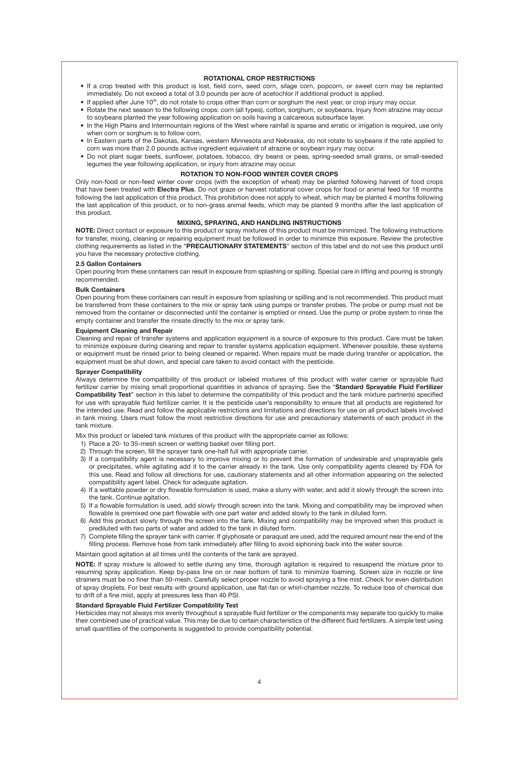#### **ROTATIONAL CROP RESTRICTIONS**

- If a crop treated with this product is lost, field corn, seed corn, silage corn, popcorn, or sweet corn may be replanted immediately. Do not exceed a total of 3.0 pounds per acre of acetochlor if additional product is applied.
- If applied after June 10<sup>th</sup>, do not rotate to crops other than corn or sorghum the next year, or crop injury may occur.
- Rotate the next season to the following crops: corn (all types), cotton, sorghum, or soybeans. Injury from atrazine may occur to soybeans planted the year following application on soils having a calcareous subsurface layer.
- In the High Plains and Intermountain regions of the West where rainfall is sparse and erratic or irrigation is required, use only when corn or sorghum is to follow corn.
- In Eastern parts of the Dakotas, Kansas, western Minnesota and Nebraska, do not rotate to soybeans if the rate applied to corn was more than 2.0 pounds active ingredient equivalent of atrazine or soybean injury may occur.
- Do not plant sugar beets, sunflower, potatoes, tobacco, dry beans or peas, spring-seeded small grains, or small-seeded legumes the year following application, or injury from atrazine may occur.

#### **ROTATION TO NON-FOOD WINTER COVER CROPS**

Only non-food or non-feed winter cover crops (with the exception of wheat) may be planted following harvest of food crops that have been treated with **Electra Plus**. Do not graze or harvest rotational cover crops for food or animal feed for 18 months following the last application of this product. This prohibition does not apply to wheat, which may be planted 4 months following the last application of this product, or to non-grass animal feeds, which may be planted 9 months after the last application of this product.

#### **MIXING, SPRAYING, AND HANDLING INSTRUCTIONS**

**NOTE:** Direct contact or exposure to this product or spray mixtures of this product must be minimized. The following instructions for transfer, mixing, cleaning or repairing equipment must be followed in order to minimize this exposure. Review the protective clothing requirements as listed in the "**PRECAUTIONARY STATEMENTS**" section of this label and do not use this product until you have the necessary protective clothing.

## **2.5 Gallon Containers**

Open pouring from these containers can result in exposure from splashing or spilling. Special care in lifting and pouring is strongly recommended.

#### **Bulk Containers**

Open pouring from these containers can result in exposure from splashing or spilling and is not recommended. This product must be transferred from these containers to the mix or spray tank using pumps or transfer probes. The probe or pump must not be removed from the container or disconnected until the container is emptied or rinsed. Use the pump or probe system to rinse the empty container and transfer the rinsate directly to the mix or spray tank.

#### **Equipment Cleaning and Repair**

Cleaning and repair of transfer systems and application equipment is a source of exposure to this product. Care must be taken to minimize exposure during cleaning and repair to transfer systems application equipment. Whenever possible, these systems or equipment must be rinsed prior to being cleaned or repaired. When repairs must be made during transfer or application, the equipment must be shut down, and special care taken to avoid contact with the pesticide.

#### **Sprayer Compatibility**

Always determine the compatibility of this product or labeled mixtures of this product with water carrier or sprayable fluid fertilizer carrier by mixing small proportional quantities in advance of spraying. See the "**Standard Sprayable Fluid Fertilizer Compatibility Test**" section in this label to determine the compatibility of this product and the tank mixture partner(s) specified for use with sprayable fluid fertilizer carrier. It is the pesticide user's responsibility to ensure that all products are registered for the intended use. Read and follow the applicable restrictions and limitations and directions for use on all product labels involved in tank mixing. Users must follow the most restrictive directions for use and precautionary statements of each product in the tank mixture.

Mix this product or labeled tank mixtures of this product with the appropriate carrier as follows:

- 1) Place a 20- to 35-mesh screen or wetting basket over filling port.
- 2) Through the screen, fill the sprayer tank one-half full with appropriate carrier.
- 3) If a compatibility agent is necessary to improve mixing or to prevent the formation of undesirable and unsprayable gels or precipitates, while agitating add it to the carrier already in the tank. Use only compatibility agents cleared by FDA for this use. Read and follow all directions for use, cautionary statements and all other information appearing on the selected compatibility agent label. Check for adequate agitation.
- 4) If a wettable powder or dry flowable formulation is used, make a slurry with water, and add it slowly through the screen into the tank. Continue agitation.
- 5) If a flowable formulation is used, add slowly through screen into the tank. Mixing and compatibility may be improved when flowable is premixed one part flowable with one part water and added slowly to the tank in diluted form.
- 6) Add this product slowly through the screen into the tank. Mixing and compatibility may be improved when this product is prediluted with two parts of water and added to the tank in diluted form.
- 7) Complete filling the sprayer tank with carrier. If glyphosate or paraquat are used, add the required amount near the end of the filling process. Remove hose from tank immediately after filling to avoid siphoning back into the water source.

Maintain good agitation at all times until the contents of the tank are sprayed.

**NOTE:** If spray mixture is allowed to settle during any time, thorough agitation is required to resuspend the mixture prior to resuming spray application. Keep by-pass line on or near bottom of tank to minimize foaming. Screen size in nozzle or line strainers must be no finer than 50-mesh. Carefully select proper nozzle to avoid spraying a fine mist. Check for even distribution of spray droplets. For best results with ground application, use flat-fan or whirl-chamber nozzle. To reduce loss of chemical due to drift of a fine mist, apply at pressures less than 40 PSI.

#### **Standard Sprayable Fluid Fertilizer Compatibility Test**

Herbicides may not always mix evenly throughout a sprayable fluid fertilizer or the components may separate too quickly to make their combined use of practical value. This may be due to certain characteristics of the different fluid fertilizers. A simple test using small quantities of the components is suggested to provide compatibility potential.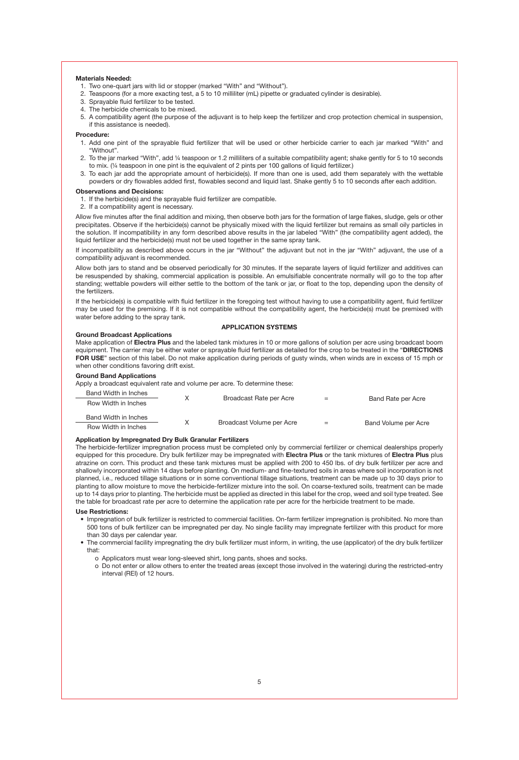#### **Materials Needed:**

- 1. Two one-quart jars with lid or stopper (marked "With" and "Without").
- 2. Teaspoons (for a more exacting test, a 5 to 10 milliliter (mL) pipette or graduated cylinder is desirable).
- 3. Sprayable fluid fertilizer to be tested.
- 4. The herbicide chemicals to be mixed.
- 5. A compatibility agent (the purpose of the adjuvant is to help keep the fertilizer and crop protection chemical in suspension, if this assistance is needed).

#### **Procedure:**

- 1. Add one pint of the sprayable fluid fertilizer that will be used or other herbicide carrier to each jar marked "With" and "Without".
- 2. To the jar marked "With", add ¼ teaspoon or 1.2 milliliters of a suitable compatibility agent; shake gently for 5 to 10 seconds to mix. (¼ teaspoon in one pint is the equivalent of 2 pints per 100 gallons of liquid fertilizer.)
- 3. To each jar add the appropriate amount of herbicide(s). If more than one is used, add them separately with the wettable powders or dry flowables added first, flowables second and liquid last. Shake gently 5 to 10 seconds after each addition.

#### **Observations and Decisions:**

1. If the herbicide(s) and the sprayable fluid fertilizer are compatible.

2. If a compatibility agent is necessary.

Allow five minutes after the final addition and mixing, then observe both jars for the formation of large flakes, sludge, gels or other precipitates. Observe if the herbicide(s) cannot be physically mixed with the liquid fertilizer but remains as small oily particles in the solution. If incompatibility in any form described above results in the jar labeled "With" (the compatibility agent added), the liquid fertilizer and the herbicide(s) must not be used together in the same spray tank.

If incompatibility as described above occurs in the jar "Without" the adjuvant but not in the jar "With" adjuvant, the use of a compatibility adjuvant is recommended.

Allow both jars to stand and be observed periodically for 30 minutes. If the separate layers of liquid fertilizer and additives can be resuspended by shaking, commercial application is possible. An emulsifiable concentrate normally will go to the top after standing; wettable powders will either settle to the bottom of the tank or jar, or float to the top, depending upon the density of the fertilizers.

If the herbicide(s) is compatible with fluid fertilizer in the foregoing test without having to use a compatibility agent, fluid fertilizer may be used for the premixing. If it is not compatible without the compatibility agent, the herbicide(s) must be premixed with water before adding to the spray tank.

#### **APPLICATION SYSTEMS**

#### **Ground Broadcast Applications**

Make application of **Electra Plus** and the labeled tank mixtures in 10 or more gallons of solution per acre using broadcast boom equipment. The carrier may be either water or sprayable fluid fertilizer as detailed for the crop to be treated in the "**DIRECTIONS FOR USE**" section of this label. Do not make application during periods of gusty winds, when winds are in excess of 15 mph or when other conditions favoring drift exist.

#### **Ground Band Applications**

Apply a broadcast equivalent rate and volume per acre. To determine these:

| Band Width in Inches | Broadcast Rate per Acre   |     |                      |  |
|----------------------|---------------------------|-----|----------------------|--|
| Row Width in Inches  |                           | $=$ | Band Rate per Acre   |  |
| Band Width in Inches | Broadcast Volume per Acre |     |                      |  |
| Row Width in Inches  |                           | $=$ | Band Volume per Acre |  |

#### **Application by Impregnated Dry Bulk Granular Fertilizers**

The herbicide-fertilizer impregnation process must be completed only by commercial fertilizer or chemical dealerships properly equipped for this procedure. Dry bulk fertilizer may be impregnated with **Electra Plus** or the tank mixtures of **Electra Plus** plus atrazine on corn. This product and these tank mixtures must be applied with 200 to 450 lbs. of dry bulk fertilizer per acre and shallowly incorporated within 14 days before planting. On medium- and fine-textured soils in areas where soil incorporation is not planned, i.e., reduced tillage situations or in some conventional tillage situations, treatment can be made up to 30 days prior to planting to allow moisture to move the herbicide-fertilizer mixture into the soil. On coarse-textured soils, treatment can be made up to 14 days prior to planting. The herbicide must be applied as directed in this label for the crop, weed and soil type treated. See the table for broadcast rate per acre to determine the application rate per acre for the herbicide treatment to be made.

#### **Use Restrictions:**

- Impregnation of bulk fertilizer is restricted to commercial facilities. On-farm fertilizer impregnation is prohibited. No more than 500 tons of bulk fertilizer can be impregnated per day. No single facility may impregnate fertilizer with this product for more than 30 days per calendar year.
- The commercial facility impregnating the dry bulk fertilizer must inform, in writing, the use (applicator) of the dry bulk fertilizer that:
	- o Applicators must wear long-sleeved shirt, long pants, shoes and socks.
	- o Do not enter or allow others to enter the treated areas (except those involved in the watering) during the restricted-entry interval (REI) of 12 hours.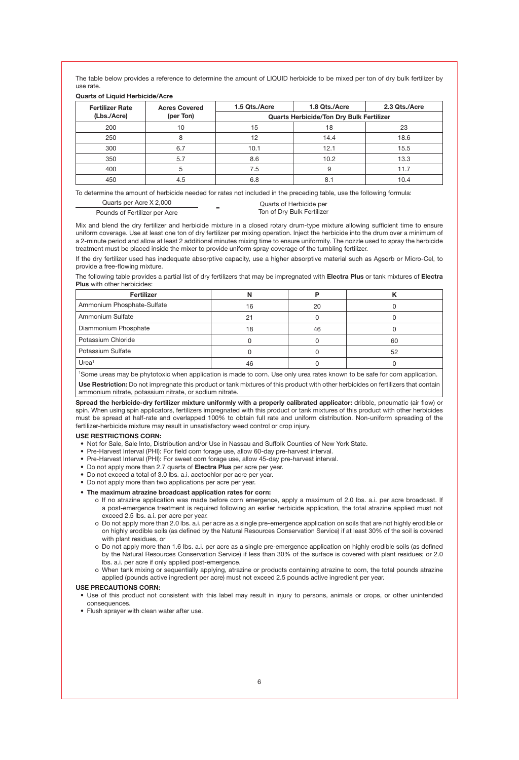The table below provides a reference to determine the amount of LIQUID herbicide to be mixed per ton of dry bulk fertilizer by use rate.

**Quarts of Liquid Herbicide/Acre**

| <b>Fertilizer Rate</b> | <b>Acres Covered</b> | 1.5 Qts./Acre                            | 1.8 Qts./Acre | 2.3 Qts./Acre |  |  |
|------------------------|----------------------|------------------------------------------|---------------|---------------|--|--|
| (Lbs./Acre)            | (per Ton)            | Quarts Herbicide/Ton Dry Bulk Fertilizer |               |               |  |  |
| 200                    | 10                   | 15                                       | 18            | 23            |  |  |
| 250                    |                      | 12                                       | 14.4          | 18.6          |  |  |
| 300                    | 6.7                  | 10.1                                     | 12.1          | 15.5          |  |  |
| 350                    | 5.7                  | 8.6                                      | 10.2          | 13.3          |  |  |
| 400                    | 5                    | 7.5                                      | 9             | 11.7          |  |  |
| 450                    | 4.5                  | 6.8                                      |               | 10.4          |  |  |

To determine the amount of herbicide needed for rates not included in the preceding table, use the following formula:

| Quarts per Acre X 2,000       | - | Quarts of Herbicide per    |
|-------------------------------|---|----------------------------|
| Pounds of Fertilizer per Acre | - | Ton of Dry Bulk Fertilizer |

Mix and blend the dry fertilizer and herbicide mixture in a closed rotary drum-type mixture allowing sufficient time to ensure uniform coverage. Use at least one ton of dry fertilizer per mixing operation. Inject the herbicide into the drum over a minimum of a 2-minute period and allow at least 2 additional minutes mixing time to ensure uniformity. The nozzle used to spray the herbicide treatment must be placed inside the mixer to provide uniform spray coverage of the tumbling fertilizer.

If the dry fertilizer used has inadequate absorptive capacity, use a higher absorptive material such as Agsorb or Micro-Cel, to provide a free-flowing mixture.

The following table provides a partial list of dry fertilizers that may be impregnated with **Electra Plus** or tank mixtures of **Electra Plus** with other herbicides:

| Fertilizer                 |    |    |    |
|----------------------------|----|----|----|
| Ammonium Phosphate-Sulfate | 16 | 20 |    |
| Ammonium Sulfate           |    |    |    |
| Diammonium Phosphate       | 18 | 46 |    |
| Potassium Chloride         |    |    | 60 |
| Potassium Sulfate          |    |    | 52 |
| Urea <sup>1</sup>          |    |    |    |

1 Some ureas may be phytotoxic when application is made to corn. Use only urea rates known to be safe for corn application. **Use Restriction:** Do not impregnate this product or tank mixtures of this product with other herbicides on fertilizers that contain ammonium nitrate, potassium nitrate, or sodium nitrate.

**Spread the herbicide-dry fertilizer mixture uniformly with a properly calibrated applicator:** dribble, pneumatic (air flow) or spin. When using spin applicators, fertilizers impregnated with this product or tank mixtures of this product with other herbicides must be spread at half-rate and overlapped 100% to obtain full rate and uniform distribution. Non-uniform spreading of the fertilizer-herbicide mixture may result in unsatisfactory weed control or crop injury.

#### **USE RESTRICTIONS CORN:**

- Not for Sale, Sale Into, Distribution and/or Use in Nassau and Suffolk Counties of New York State.
- Pre-Harvest Interval (PHI): For field corn forage use, allow 60-day pre-harvest interval.
- Pre-Harvest Interval (PHI): For sweet corn forage use, allow 45-day pre-harvest interval.
- Do not apply more than 2.7 quarts of **Electra Plus** per acre per year.
- Do not exceed a total of 3.0 lbs. a.i. acetochlor per acre per year.
- Do not apply more than two applications per acre per year.

#### **• The maximum atrazine broadcast application rates for corn:**

- o If no atrazine application was made before corn emergence, apply a maximum of 2.0 lbs. a.i. per acre broadcast. If a post-emergence treatment is required following an earlier herbicide application, the total atrazine applied must not exceed 2.5 lbs. a.i. per acre per year.
- o Do not apply more than 2.0 lbs. a.i. per acre as a single pre-emergence application on soils that are not highly erodible or on highly erodible soils (as defined by the Natural Resources Conservation Service) if at least 30% of the soil is covered with plant residues, or
- o Do not apply more than 1.6 lbs. a.i. per acre as a single pre-emergence application on highly erodible soils (as defined by the Natural Resources Conservation Service) if less than 30% of the surface is covered with plant residues; or 2.0 lbs. a.i. per acre if only applied post-emergence.
- o When tank mixing or sequentially applying, atrazine or products containing atrazine to corn, the total pounds atrazine applied (pounds active ingredient per acre) must not exceed 2.5 pounds active ingredient per year.

#### **USE PRECAUTIONS CORN:**

• Use of this product not consistent with this label may result in injury to persons, animals or crops, or other unintended consequences.

• Flush sprayer with clean water after use.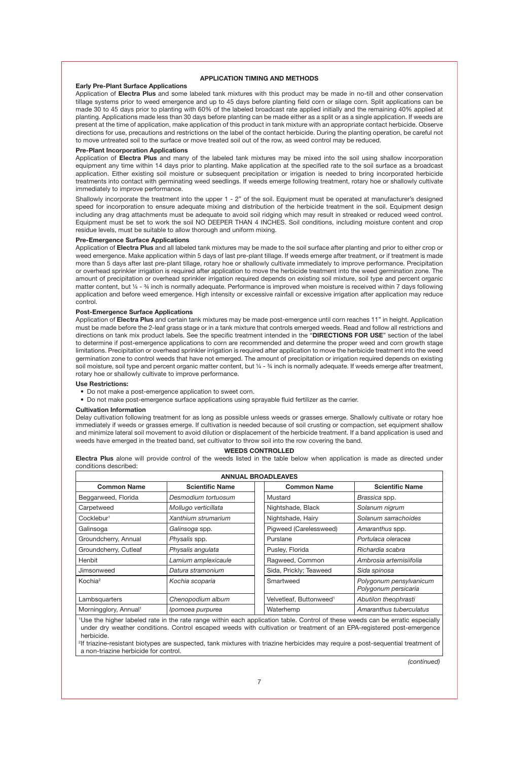#### **APPLICATION TIMING AND METHODS**

#### **Early Pre-Plant Surface Applications**

Application of **Electra Plus** and some labeled tank mixtures with this product may be made in no-till and other conservation tillage systems prior to weed emergence and up to 45 days before planting field corn or silage corn. Split applications can be made 30 to 45 days prior to planting with 60% of the labeled broadcast rate applied initially and the remaining 40% applied at planting. Applications made less than 30 days before planting can be made either as a split or as a single application. If weeds are present at the time of application, make application of this product in tank mixture with an appropriate contact herbicide. Observe directions for use, precautions and restrictions on the label of the contact herbicide. During the planting operation, be careful not to move untreated soil to the surface or move treated soil out of the row, as weed control may be reduced.

#### **Pre-Plant Incorporation Applications**

Application of **Electra Plus** and many of the labeled tank mixtures may be mixed into the soil using shallow incorporation equipment any time within 14 days prior to planting. Make application at the specified rate to the soil surface as a broadcast application. Either existing soil moisture or subsequent precipitation or irrigation is needed to bring incorporated herbicide treatments into contact with germinating weed seedlings. If weeds emerge following treatment, rotary hoe or shallowly cultivate immediately to improve performance.

Shallowly incorporate the treatment into the upper 1 - 2" of the soil. Equipment must be operated at manufacturer's designed speed for incorporation to ensure adequate mixing and distribution of the herbicide treatment in the soil. Equipment design including any drag attachments must be adequate to avoid soil ridging which may result in streaked or reduced weed control. Equipment must be set to work the soil NO DEEPER THAN 4 INCHES. Soil conditions, including moisture content and crop residue levels, must be suitable to allow thorough and uniform mixing.

#### **Pre-Emergence Surface Applications**

Application of **Electra Plus** and all labeled tank mixtures may be made to the soil surface after planting and prior to either crop or weed emergence. Make application within 5 days of last pre-plant tillage. If weeds emerge after treatment, or if treatment is made more than 5 days after last pre-plant tillage, rotary hoe or shallowly cultivate immediately to improve performance. Precipitation or overhead sprinkler irrigation is required after application to move the herbicide treatment into the weed germination zone. The amount of precipitation or overhead sprinkler irrigation required depends on existing soil mixture, soil type and percent organic matter content, but ¼ - ¾ inch is normally adequate. Performance is improved when moisture is received within 7 days following application and before weed emergence. High intensity or excessive rainfall or excessive irrigation after application may reduce control.

#### **Post-Emergence Surface Applications**

Application of **Electra Plus** and certain tank mixtures may be made post-emergence until corn reaches 11" in height. Application must be made before the 2-leaf grass stage or in a tank mixture that controls emerged weeds. Read and follow all restrictions and directions on tank mix product labels. See the specific treatment intended in the "**DIRECTIONS FOR USE**" section of the label to determine if post-emergence applications to corn are recommended and determine the proper weed and corn growth stage limitations. Precipitation or overhead sprinkler irrigation is required after application to move the herbicide treatment into the weed germination zone to control weeds that have not emerged. The amount of precipitation or irrigation required depends on existing soil moisture, soil type and percent organic matter content, but ¼ - ¾ inch is normally adequate. If weeds emerge after treatment, rotary hoe or shallowly cultivate to improve performance.

#### **Use Restrictions:**

- Do not make a post-emergence application to sweet corn.
- Do not make post-emergence surface applications using sprayable fluid fertilizer as the carrier.

#### **Cultivation Information**

Delay cultivation following treatment for as long as possible unless weeds or grasses emerge. Shallowly cultivate or rotary hoe immediately if weeds or grasses emerge. If cultivation is needed because of soil crusting or compaction, set equipment shallow and minimize lateral soil movement to avoid dilution or displacement of the herbicide treatment. If a band application is used and weeds have emerged in the treated band, set cultivator to throw soil into the row covering the band.

#### **WEEDS CONTROLLED**

**Electra Plus** alone will provide control of the weeds listed in the table below when application is made as directed under conditions described:

| <b>ANNUAL BROADLEAVES</b>                                                                                                     |                        |  |                                     |                                                 |
|-------------------------------------------------------------------------------------------------------------------------------|------------------------|--|-------------------------------------|-------------------------------------------------|
| <b>Common Name</b>                                                                                                            | <b>Scientific Name</b> |  | <b>Common Name</b>                  | <b>Scientific Name</b>                          |
| Beggarweed, Florida                                                                                                           | Desmodium tortuosum    |  | Mustard                             | Brassica spp.                                   |
| Carpetweed                                                                                                                    | Mollugo verticillata   |  | Nightshade, Black                   | Solanum nigrum                                  |
| Cocklebur <sup>1</sup>                                                                                                        | Xanthium strumarium    |  | Nightshade, Hairy                   | Solanum sarrachoides                            |
| Galinsoga                                                                                                                     | Galinsoga spp.         |  | Pigweed (Carelessweed)              | Amaranthus spp.                                 |
| Groundcherry, Annual                                                                                                          | Physalis spp.          |  | Purslane                            | Portulaca oleracea                              |
| Groundcherry, Cutleaf                                                                                                         | Physalis angulata      |  | Pusley, Florida                     | Richardia scabra                                |
| Henbit                                                                                                                        | Lamium amplexicaule    |  | Ragweed, Common                     | Ambrosia artemisiifolia                         |
| Jimsonweed                                                                                                                    | Datura stramonium      |  | Sida, Prickly; Teaweed              | Sida spinosa                                    |
| Kochia <sup>2</sup>                                                                                                           | Kochia scoparia        |  | Smartweed                           | Polygonum pensylvanicum<br>Polygonum persicaria |
| Lambsquarters                                                                                                                 | Chenopodium album      |  | Velvetleaf, Buttonweed <sup>1</sup> | Abutilon theophrasti                            |
| Morningglory, Annual <sup>1</sup>                                                                                             | Ipomoea purpurea       |  | Waterhemp                           | Amaranthus tuberculatus                         |
| Use the higher labeled rate in the rate range within each application table. Control of these weeds can be erratic especially |                        |  |                                     |                                                 |

under dry weather conditions. Control escaped weeds with cultivation or treatment of an EPA-registered post-emergence herbicide.

2 If triazine-resistant biotypes are suspected, tank mixtures with triazine herbicides may require a post-sequential treatment of a non-triazine herbicide for control.

*(continued)*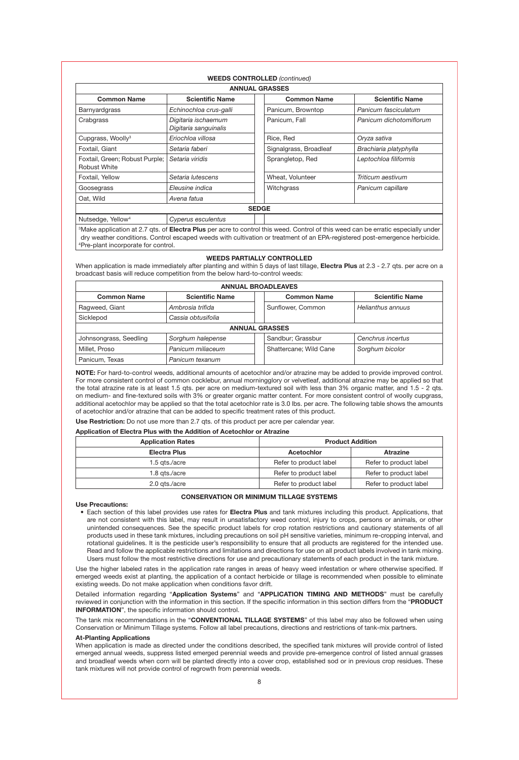|                                                |                                              |              | <b>ANNUAL GRASSES</b>  |                         |
|------------------------------------------------|----------------------------------------------|--------------|------------------------|-------------------------|
| <b>Common Name</b>                             | <b>Scientific Name</b>                       |              | <b>Common Name</b>     | <b>Scientific Name</b>  |
| Barnyardgrass                                  | Echinochloa crus-galli                       |              | Panicum, Browntop      | Panicum fasciculatum    |
| Crabgrass                                      | Digitaria ischaemum<br>Digitaria sanguinalis |              | Panicum, Fall          | Panicum dichotomiflorum |
| Cupgrass, Woolly <sup>3</sup>                  | Eriochloa villosa                            |              | Rice, Red              | Oryza sativa            |
| Foxtail, Giant                                 | Setaria faberi                               |              | Signalgrass, Broadleaf | Brachiaria platyphylla  |
| Foxtail, Green; Robust Purple;<br>Robust White | Setaria viridis                              |              | Sprangletop, Red       | Leptochloa filiformis   |
| Foxtail, Yellow                                | Setaria lutescens                            |              | Wheat, Volunteer       | Triticum aestivum       |
| Goosegrass                                     | Eleusine indica                              |              | Witchgrass             | Panicum capillare       |
| Oat, Wild                                      | Avena fatua                                  |              |                        |                         |
|                                                |                                              | <b>SEDGE</b> |                        |                         |
| Nutsedge, Yellow <sup>4</sup>                  | Cyperus esculentus                           |              |                        |                         |

Make application at 2.7 qts. of **Electra Plus** per acre to control this weed. Control of this weed can be erratic especially under dry weather conditions. Control escaped weeds with cultivation or treatment of an EPA-registered post-emergence herbicide. 4 Pre-plant incorporate for control.

#### **WEEDS PARTIALLY CONTROLLED**

When application is made immediately after planting and within 5 days of last tillage, **Electra Plus** at 2.3 - 2.7 qts. per acre on a broadcast basis will reduce competition from the below hard-to-control weeds:

| <b>ANNUAL BROADLEAVES</b> |                        |  |                        |                        |
|---------------------------|------------------------|--|------------------------|------------------------|
| <b>Common Name</b>        | <b>Scientific Name</b> |  | <b>Common Name</b>     | <b>Scientific Name</b> |
| Ragweed, Giant            | Ambrosia trifida       |  | Sunflower, Common      | Helianthus annuus      |
| Sicklepod                 | Cassia obtusifolia     |  |                        |                        |
| <b>ANNUAL GRASSES</b>     |                        |  |                        |                        |
| Johnsongrass, Seedling    | Sorghum halepense      |  | Sandbur; Grassbur      | Cenchrus incertus      |
| Millet, Proso             | Panicum miliaceum      |  | Shattercane: Wild Cane | Sorghum bicolor        |
| Panicum. Texas            | Panicum texanum        |  |                        |                        |

**NOTE:** For hard-to-control weeds, additional amounts of acetochlor and/or atrazine may be added to provide improved control. For more consistent control of common cocklebur, annual morningglory or velvetleaf, additional atrazine may be applied so that the total atrazine rate is at least 1.5 qts. per acre on medium-textured soil with less than 3% organic matter, and 1.5 - 2 qts. on medium- and fine-textured soils with 3% or greater organic matter content. For more consistent control of woolly cupgrass, additional acetochlor may be applied so that the total acetochlor rate is 3.0 lbs. per acre. The following table shows the amounts of acetochlor and/or atrazine that can be added to specific treatment rates of this product.

**Use Restriction:** Do not use more than 2.7 qts. of this product per acre per calendar year.

#### **Application of Electra Plus with the Addition of Acetochlor or Atrazine**

| <b>Application Rates</b> |                        | <b>Product Addition</b> |
|--------------------------|------------------------|-------------------------|
| Electra Plus             | Acetochlor             | Atrazine                |
| 1.5 ats./acre            | Refer to product label | Refer to product label  |
| 1.8 ats./acre            | Refer to product label | Refer to product label  |
| 2.0 ats./acre            | Refer to product label | Refer to product label  |

#### **CONSERVATION OR MINIMUM TILLAGE SYSTEMS**

**Use Precautions:**

• Each section of this label provides use rates for **Electra Plus** and tank mixtures including this product. Applications, that are not consistent with this label, may result in unsatisfactory weed control, injury to crops, persons or animals, or other unintended consequences. See the specific product labels for crop rotation restrictions and cautionary statements of all products used in these tank mixtures, including precautions on soil pH sensitive varieties, minimum re-cropping interval, and rotational guidelines. It is the pesticide user's responsibility to ensure that all products are registered for the intended use. Read and follow the applicable restrictions and limitations and directions for use on all product labels involved in tank mixing. Users must follow the most restrictive directions for use and precautionary statements of each product in the tank mixture.

Use the higher labeled rates in the application rate ranges in areas of heavy weed infestation or where otherwise specified. If emerged weeds exist at planting, the application of a contact herbicide or tillage is recommended when possible to eliminate existing weeds. Do not make application when conditions favor drift.

Detailed information regarding "**Application Systems**" and "**APPLICATION TIMING AND METHODS**" must be carefully reviewed in conjunction with the information in this section. If the specific information in this section differs from the "**PRODUCT INFORMATION**", the specific information should control.

The tank mix recommendations in the "**CONVENTIONAL TILLAGE SYSTEMS**" of this label may also be followed when using Conservation or Minimum Tillage systems. Follow all label precautions, directions and restrictions of tank-mix partners.

#### **At-Planting Applications**

When application is made as directed under the conditions described, the specified tank mixtures will provide control of listed emerged annual weeds, suppress listed emerged perennial weeds and provide pre-emergence control of listed annual grasses and broadleaf weeds when corn will be planted directly into a cover crop, established sod or in previous crop residues. These tank mixtures will not provide control of regrowth from perennial weeds.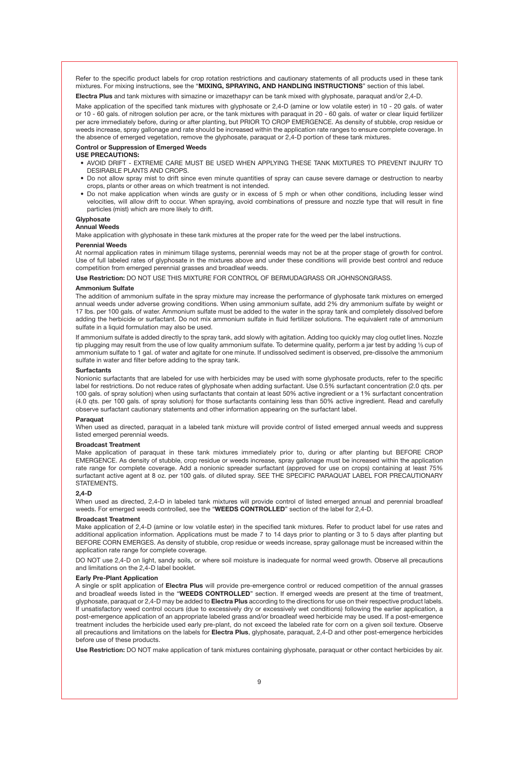Refer to the specific product labels for crop rotation restrictions and cautionary statements of all products used in these tank mixtures. For mixing instructions, see the "**MIXING, SPRAYING, AND HANDLING INSTRUCTIONS**" section of this label.

**Electra Plus** and tank mixtures with simazine or imazethapyr can be tank mixed with glyphosate, paraquat and/or 2,4-D.

Make application of the specified tank mixtures with glyphosate or 2,4-D (amine or low volatile ester) in 10 - 20 gals. of water or 10 - 60 gals. of nitrogen solution per acre, or the tank mixtures with paraquat in 20 - 60 gals. of water or clear liquid fertilizer per acre immediately before, during or after planting, but PRIOR TO CROP EMERGENCE. As density of stubble, crop residue or weeds increase, spray gallonage and rate should be increased within the application rate ranges to ensure complete coverage. In the absence of emerged vegetation, remove the glyphosate, paraquat or 2,4-D portion of these tank mixtures.

#### **Control or Suppression of Emerged Weeds**

#### **USE PRECAUTIONS:**

- AVOID DRIFT EXTREME CARE MUST BE USED WHEN APPLYING THESE TANK MIXTURES TO PREVENT INJURY TO DESIRABLE PLANTS AND CROPS.
- Do not allow spray mist to drift since even minute quantities of spray can cause severe damage or destruction to nearby crops, plants or other areas on which treatment is not intended.
- Do not make application when winds are gusty or in excess of 5 mph or when other conditions, including lesser wind velocities, will allow drift to occur. When spraying, avoid combinations of pressure and nozzle type that will result in fine particles (mist) which are more likely to drift.

#### **Glyphosate**

#### **Annual Weeds**

Make application with glyphosate in these tank mixtures at the proper rate for the weed per the label instructions.

#### **Perennial Weeds**

At normal application rates in minimum tillage systems, perennial weeds may not be at the proper stage of growth for control. Use of full labeled rates of glyphosate in the mixtures above and under these conditions will provide best control and reduce competition from emerged perennial grasses and broadleaf weeds.

**Use Restriction:** DO NOT USE THIS MIXTURE FOR CONTROL OF BERMUDAGRASS OR JOHNSONGRASS.

#### **Ammonium Sulfate**

The addition of ammonium sulfate in the spray mixture may increase the performance of glyphosate tank mixtures on emerged annual weeds under adverse growing conditions. When using ammonium sulfate, add 2% dry ammonium sulfate by weight or 17 lbs. per 100 gals. of water. Ammonium sulfate must be added to the water in the spray tank and completely dissolved before adding the herbicide or surfactant. Do not mix ammonium sulfate in fluid fertilizer solutions. The equivalent rate of ammonium sulfate in a liquid formulation may also be used.

If ammonium sulfate is added directly to the spray tank, add slowly with agitation. Adding too quickly may clog outlet lines. Nozzle tip plugging may result from the use of low quality ammonium sulfate. To determine quality, perform a jar test by adding 1/3 cup of ammonium sulfate to 1 gal. of water and agitate for one minute. If undissolved sediment is observed, pre-dissolve the ammonium sulfate in water and filter before adding to the spray tank.

#### **Surfactants**

Nonionic surfactants that are labeled for use with herbicides may be used with some glyphosate products, refer to the specific label for restrictions. Do not reduce rates of glyphosate when adding surfactant. Use 0.5% surfactant concentration (2.0 qts. per 100 gals. of spray solution) when using surfactants that contain at least 50% active ingredient or a 1% surfactant concentration (4.0 qts. per 100 gals. of spray solution) for those surfactants containing less than 50% active ingredient. Read and carefully observe surfactant cautionary statements and other information appearing on the surfactant label.

#### **Paraquat**

When used as directed, paraquat in a labeled tank mixture will provide control of listed emerged annual weeds and suppress listed emerged perennial weeds.

#### **Broadcast Treatment**

Make application of paraquat in these tank mixtures immediately prior to, during or after planting but BEFORE CROP EMERGENCE. As density of stubble, crop residue or weeds increase, spray gallonage must be increased within the application rate range for complete coverage. Add a nonionic spreader surfactant (approved for use on crops) containing at least 75% surfactant active agent at 8 oz. per 100 gals. of diluted spray. SEE THE SPECIFIC PARAQUAT LABEL FOR PRECAUTIONARY **STATEMENTS** 

#### **2,4-D**

When used as directed, 2,4-D in labeled tank mixtures will provide control of listed emerged annual and perennial broadleaf weeds. For emerged weeds controlled, see the "**WEEDS CONTROLLED**" section of the label for 2,4-D.

#### **Broadcast Treatment**

Make application of 2,4-D (amine or low volatile ester) in the specified tank mixtures. Refer to product label for use rates and additional application information. Applications must be made 7 to 14 days prior to planting or 3 to 5 days after planting but BEFORE CORN EMERGES. As density of stubble, crop residue or weeds increase, spray gallonage must be increased within the application rate range for complete coverage.

DO NOT use 2,4-D on light, sandy soils, or where soil moisture is inadequate for normal weed growth. Observe all precautions and limitations on the 2,4-D label booklet.

#### **Early Pre-Plant Application**

A single or split application of **Electra Plus** will provide pre-emergence control or reduced competition of the annual grasses and broadleaf weeds listed in the "**WEEDS CONTROLLED**" section. If emerged weeds are present at the time of treatment, glyphosate, paraquat or 2,4-D may be added to **Electra Plus** according to the directions for use on their respective product labels. If unsatisfactory weed control occurs (due to excessively dry or excessively wet conditions) following the earlier application, a post-emergence application of an appropriate labeled grass and/or broadleaf weed herbicide may be used. If a post-emergence treatment includes the herbicide used early pre-plant, do not exceed the labeled rate for corn on a given soil texture. Observe all precautions and limitations on the labels for **Electra Plus**, glyphosate, paraquat, 2,4-D and other post-emergence herbicides before use of these products.

**Use Restriction:** DO NOT make application of tank mixtures containing glyphosate, paraquat or other contact herbicides by air.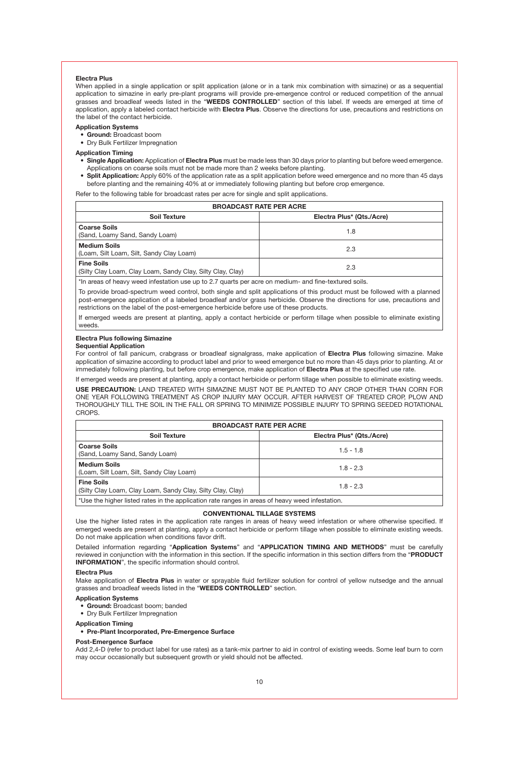#### **Electra Plus**

When applied in a single application or split application (alone or in a tank mix combination with simazine) or as a sequential application to simazine in early pre-plant programs will provide pre-emergence control or reduced competition of the annual grasses and broadleaf weeds listed in the "**WEEDS CONTROLLED**" section of this label. If weeds are emerged at time of application, apply a labeled contact herbicide with **Electra Plus**. Observe the directions for use, precautions and restrictions on the label of the contact herbicide.

#### **Application Systems**

- **• Ground:** Broadcast boom
- Dry Bulk Fertilizer Impregnation
- **Application Timing**
- **• Single Application:** Application of **Electra Plus** must be made less than 30 days prior to planting but before weed emergence. Applications on coarse soils must not be made more than 2 weeks before planting.
- Split Application: Apply 60% of the application rate as a split application before weed emergence and no more than 45 days before planting and the remaining 40% at or immediately following planting but before crop emergence.

Refer to the following table for broadcast rates per acre for single and split applications.

| <b>BROADCAST RATE PER ACRE</b>                                                  |     |  |  |
|---------------------------------------------------------------------------------|-----|--|--|
| Electra Plus* (Qts./Acre)<br><b>Soil Texture</b>                                |     |  |  |
| <b>Coarse Soils</b><br>(Sand, Loamy Sand, Sandy Loam)                           | 1.8 |  |  |
| <b>Medium Soils</b><br>(Loam, Silt Loam, Silt, Sandy Clay Loam)                 | 2.3 |  |  |
| <b>Fine Soils</b><br>(Silty Clay Loam, Clay Loam, Sandy Clay, Silty Clay, Clay) | 2.3 |  |  |

\*In areas of heavy weed infestation use up to 2.7 quarts per acre on medium- and fine-textured soils.

To provide broad-spectrum weed control, both single and split applications of this product must be followed with a planned post-emergence application of a labeled broadleaf and/or grass herbicide. Observe the directions for use, precautions and restrictions on the label of the post-emergence herbicide before use of these products.

If emerged weeds are present at planting, apply a contact herbicide or perform tillage when possible to eliminate existing weeds.

#### **Electra Plus following Simazine**

#### **Sequential Application**

For control of fall panicum, crabgrass or broadleaf signalgrass, make application of **Electra Plus** following simazine. Make application of simazine according to product label and prior to weed emergence but no more than 45 days prior to planting. At or immediately following planting, but before crop emergence, make application of **Electra Plus** at the specified use rate.

If emerged weeds are present at planting, apply a contact herbicide or perform tillage when possible to eliminate existing weeds. **USE PRECAUTION:** LAND TREATED WITH SIMAZINE MUST NOT BE PLANTED TO ANY CROP OTHER THAN CORN FOR ONE YEAR FOLLOWING TREATMENT AS CROP INJURY MAY OCCUR. AFTER HARVEST OF TREATED CROP, PLOW AND THOROUGHLY TILL THE SOIL IN THE FALL OR SPRING TO MINIMIZE POSSIBLE INJURY TO SPRING SEEDED ROTATIONAL CROPS.

| <b>BROADCAST RATE PER ACRE</b>                                                                     |             |  |  |  |
|----------------------------------------------------------------------------------------------------|-------------|--|--|--|
| Electra Plus* (Qts./Acre)<br>Soil Texture                                                          |             |  |  |  |
| <b>Coarse Soils</b><br>(Sand, Loamy Sand, Sandy Loam)                                              | $1.5 - 1.8$ |  |  |  |
| <b>Medium Soils</b><br>$1.8 - 2.3$<br>(Loam, Silt Loam, Silt, Sandy Clay Loam)                     |             |  |  |  |
| <b>Fine Soils</b><br>$1.8 - 2.3$<br>(Silty Clay Loam, Clay Loam, Sandy Clay, Silty Clay, Clay)     |             |  |  |  |
| t lea tha highar lietad ratae in tha annlication rata rangee in araae of haawy waad infactation. " |             |  |  |  |

\*Use the higher listed rates in the application rate ranges in areas of heavy weed infestation.

#### **CONVENTIONAL TILLAGE SYSTEMS**

Use the higher listed rates in the application rate ranges in areas of heavy weed infestation or where otherwise specified. If emerged weeds are present at planting, apply a contact herbicide or perform tillage when possible to eliminate existing weeds. Do not make application when conditions favor drift.

Detailed information regarding "**Application Systems**" and "**APPLICATION TIMING AND METHODS**" must be carefully reviewed in conjunction with the information in this section. If the specific information in this section differs from the "**PRODUCT INFORMATION**", the specific information should control.

#### **Electra Plus**

Make application of **Electra Plus** in water or sprayable fluid fertilizer solution for control of yellow nutsedge and the annual grasses and broadleaf weeds listed in the "**WEEDS CONTROLLED**" section.

#### **Application Systems**

- **• Ground:** Broadcast boom; banded
- Dry Bulk Fertilizer Impregnation

#### **Application Timing**

#### **• Pre-Plant Incorporated, Pre-Emergence Surface**

#### **Post-Emergence Surface**

Add 2,4-D (refer to product label for use rates) as a tank-mix partner to aid in control of existing weeds. Some leaf burn to corn may occur occasionally but subsequent growth or yield should not be affected.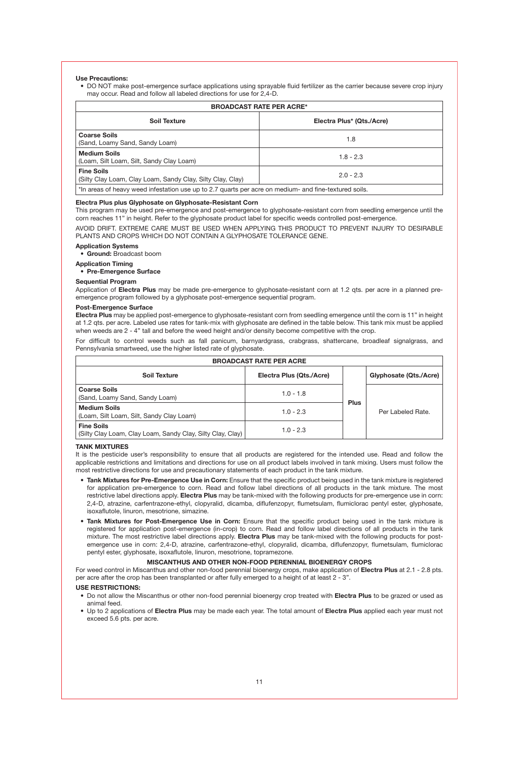#### **Use Precautions:**

• DO NOT make post-emergence surface applications using sprayable fluid fertilizer as the carrier because severe crop injury may occur. Read and follow all labeled directions for use for 2,4-D.

| <b>BROADCAST RATE PER ACRE*</b>                                                                       |                           |  |  |
|-------------------------------------------------------------------------------------------------------|---------------------------|--|--|
| Soil Texture                                                                                          | Electra Plus* (Qts./Acre) |  |  |
| <b>Coarse Soils</b><br>(Sand, Loamy Sand, Sandy Loam)                                                 | 1.8                       |  |  |
| <b>Medium Soils</b><br>(Loam, Silt Loam, Silt, Sandy Clay Loam)                                       | $18 - 23$                 |  |  |
| <b>Fine Soils</b><br>(Silty Clay Loam, Clay Loam, Sandy Clay, Silty Clay, Clay)                       | $2.0 - 2.3$               |  |  |
| *In areas of heavy weed infestation use up to 2.7 quarts per acre on medium- and fine-textured soils. |                           |  |  |

#### **Electra Plus plus Glyphosate on Glyphosate-Resistant Corn**

This program may be used pre-emergence and post-emergence to glyphosate-resistant corn from seedling emergence until the corn reaches 11" in height. Refer to the glyphosate product label for specific weeds controlled post-emergence.

AVOID DRIFT. EXTREME CARE MUST BE USED WHEN APPLYING THIS PRODUCT TO PREVENT INJURY TO DESIRABLE PLANTS AND CROPS WHICH DO NOT CONTAIN A GLYPHOSATE TOLERANCE GENE.

#### **Application Systems**

**• Ground:** Broadcast boom

#### **Application Timing**

**• Pre-Emergence Surface**

#### **Sequential Program**

Application of **Electra Plus** may be made pre-emergence to glyphosate-resistant corn at 1.2 qts. per acre in a planned preemergence program followed by a glyphosate post-emergence sequential program.

#### **Post-Emergence Surface**

**Electra Plus** may be applied post-emergence to glyphosate-resistant corn from seedling emergence until the corn is 11" in height at 1.2 qts. per acre. Labeled use rates for tank-mix with glyphosate are defined in the table below. This tank mix must be applied when weeds are 2 - 4" tall and before the weed height and/or density become competitive with the crop.

For difficult to control weeds such as fall panicum, barnyardgrass, crabgrass, shattercane, broadleaf signalgrass, and Pennsylvania smartweed, use the higher listed rate of glyphosate.

| <b>BROADCAST RATE PER ACRE</b>                                                  |                          |      |                        |
|---------------------------------------------------------------------------------|--------------------------|------|------------------------|
| Soil Texture                                                                    | Electra Plus (Qts./Acre) | Plus | Glyphosate (Qts./Acre) |
| <b>Coarse Soils</b><br>(Sand, Loamy Sand, Sandy Loam)                           | $1.0 - 1.8$              |      | Per Labeled Rate.      |
| <b>Medium Soils</b><br>(Loam, Silt Loam, Silt, Sandy Clay Loam)                 | $1.0 - 2.3$              |      |                        |
| <b>Fine Soils</b><br>(Silty Clay Loam, Clay Loam, Sandy Clay, Silty Clay, Clay) | $1.0 - 2.3$              |      |                        |

#### **TANK MIXTURES**

It is the pesticide user's responsibility to ensure that all products are registered for the intended use. Read and follow the applicable restrictions and limitations and directions for use on all product labels involved in tank mixing. Users must follow the most restrictive directions for use and precautionary statements of each product in the tank mixture.

- **• Tank Mixtures for Pre-Emergence Use in Corn:** Ensure that the specific product being used in the tank mixture is registered for application pre-emergence to corn. Read and follow label directions of all products in the tank mixture. The most restrictive label directions apply. **Electra Plus** may be tank-mixed with the following products for pre-emergence use in corn: 2,4-D, atrazine, carfentrazone-ethyl, clopyralid, dicamba, diflufenzopyr, flumetsulam, flumiclorac pentyl ester, glyphosate, isoxaflutole, linuron, mesotrione, simazine.
- **• Tank Mixtures for Post-Emergence Use in Corn:** Ensure that the specific product being used in the tank mixture is registered for application post-emergence (in-crop) to corn. Read and follow label directions of all products in the tank mixture. The most restrictive label directions apply. **Electra Plus** may be tank-mixed with the following products for postemergence use in corn: 2,4-D, atrazine, carfentrazone-ethyl, clopyralid, dicamba, diflufenzopyr, flumetsulam, flumiclorac pentyl ester, glyphosate, isoxaflutole, linuron, mesotrione, topramezone.

#### **MISCANTHUS AND OTHER NON-FOOD PERENNIAL BIOENERGY CROPS**

For weed control in Miscanthus and other non-food perennial bioenergy crops, make application of **Electra Plus** at 2.1 - 2.8 pts. per acre after the crop has been transplanted or after fully emerged to a height of at least 2 - 3".

#### **USE RESTRICTIONS:**

- Do not allow the Miscanthus or other non-food perennial bioenergy crop treated with **Electra Plus** to be grazed or used as animal feed.
- Up to 2 applications of **Electra Plus** may be made each year. The total amount of **Electra Plus** applied each year must not exceed 5.6 pts. per acre.